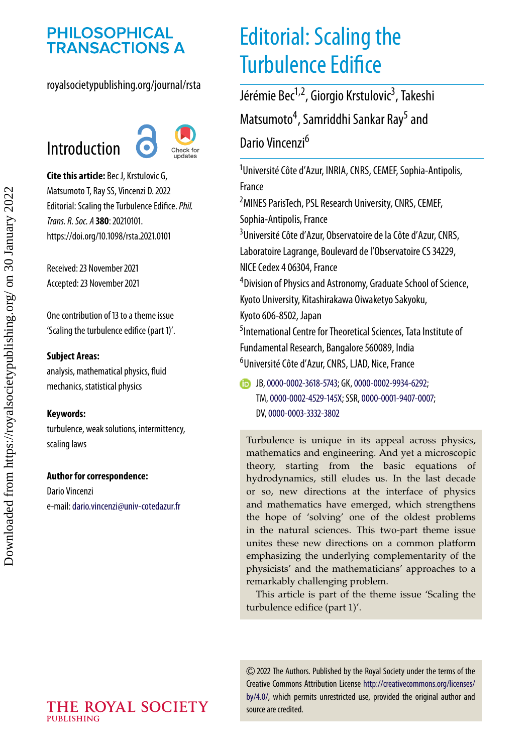# **PHILOSOPHICAL<br>TRANSACTIONS A**

royalsocietypublishing.org/journal/rsta

# Introduction



**Cite this article:** Bec J, Krstulovic G, Matsumoto T, Ray SS, Vincenzi D. 2022 Editorial: Scaling the Turbulence Edifice.*Phil. Trans. R. Soc. A* **380**: 20210101. https://doi.org/10.1098/rsta.2021.0101

Received: 23 November 2021 Accepted: 23 November 2021

One contribution of 13 to a theme issue ['Scaling the turbulence edifice \(part 1\)'.](https://doi.org/10.1098/rsta/380/2218)

#### **Subject Areas:**

analysis, mathematical physics, fluid mechanics, statistical physics

#### **Keywords:**

turbulence, weak solutions, intermittency, scaling laws

#### **Author for correspondence:**

Dario Vincenzi e-mail:[dario.vincenzi@univ-cotedazur.fr](mailto:dario.vincenzi@univ-cotedazur.fr)

# Editorial: Scaling the Turbulence Edifice

Jérémie Bec<sup>1,2</sup>, Giorgio Krstulovic<sup>3</sup>, Takeshi Matsumoto<sup>4</sup>, Samriddhi Sankar Ray<sup>5</sup> and Dario Vincenzi<sup>6</sup>

1 Université Côte d'Azur, INRIA, CNRS, CEMEF, Sophia-Antipolis, France 2 MINES ParisTech, PSL Research University, CNRS, CEMEF, Sophia-Antipolis, France

<sup>3</sup>Université Côte d'Azur, Observatoire de la Côte d'Azur, CNRS, Laboratoire Lagrange, Boulevard de l'Observatoire CS 34229, NICE Cedex 4 06304, France

4 Division of Physics and Astronomy, Graduate School of Science, Kyoto University, Kitashirakawa Oiwaketyo Sakyoku, Kyoto 606-8502, Japan

5 International Centre for Theoretical Sciences, Tata Institute of Fundamental Research, Bangalore 560089, India 6 Université Côte d'Azur, CNRS, LJAD, Nice, France

JB,[0000-0002-3618-5743;](http://orcid.org/0000-0002-3618-5743) GK,[0000-0002-9934-6292;](http://orcid.org/0000-0002-9934-6292) TM,[0000-0002-4529-145X;](http://orcid.org/0000-0002-4529-145X) SSR,[0000-0001-9407-0007;](http://orcid.org/0000-0001-9407-0007) DV,[0000-0003-3332-3802](http://orcid.org/0000-0003-3332-3802)

Turbulence is unique in its appeal across physics, mathematics and engineering. And yet a microscopic theory, starting from the basic equations of hydrodynamics, still eludes us. In the last decade or so, new directions at the interface of physics and mathematics have emerged, which strengthens the hope of 'solving' one of the oldest problems in the natural sciences. This two-part theme issue unites these new directions on a common platform emphasizing the underlying complementarity of the physicists' and the mathematicians' approaches to a remarkably challenging problem.

This article is part of the theme issue 'Scaling the turbulence edifice (part 1)'.

2022 The Authors. Published by the Royal Society under the terms of the Creative Commons Attribution License [http://creativecommons.org/licenses/](http://creativecommons.org/licenses/by/4.0/) [by/4.0/,](http://creativecommons.org/licenses/by/4.0/) which permits unrestricted use, provided the original author and source are credited.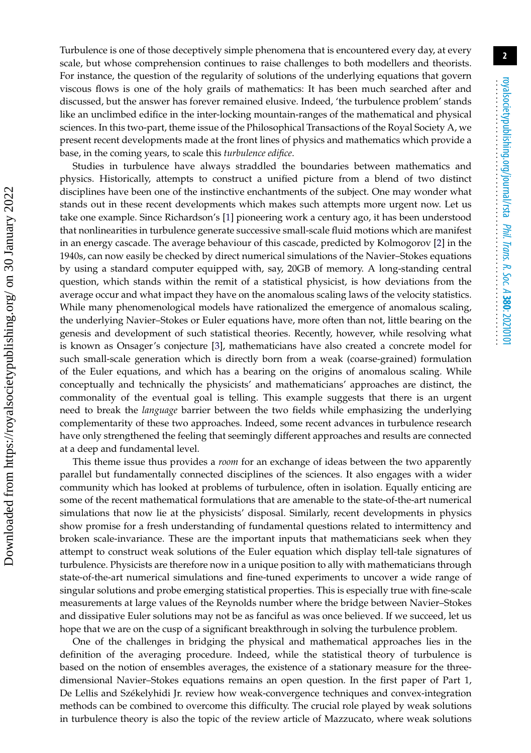Turbulence is one of those deceptively simple phenomena that is encountered every day, at every scale, but whose comprehension continues to raise challenges to both modellers and theorists. For instance, the question of the regularity of solutions of the underlying equations that govern viscous flows is one of the holy grails of mathematics: It has been much searched after and discussed, but the answer has forever remained elusive. Indeed, 'the turbulence problem' stands like an unclimbed edifice in the inter-locking mountain-ranges of the mathematical and physical sciences. In this two-part, theme issue of the Philosophical Transactions of the Royal Society A, we present recent developments made at the front lines of physics and mathematics which provide a base, in the coming years, to scale this *turbulence edifice*.

Studies in turbulence have always straddled the boundaries between mathematics and physics. Historically, attempts to construct a unified picture from a blend of two distinct disciplines have been one of the instinctive enchantments of the subject. One may wonder what stands out in these recent developments which makes such attempts more urgent now. Let us take one example. Since Richardson's [\[1\]](#page-4-0) pioneering work a century ago, it has been understood that nonlinearities in turbulence generate successive small-scale fluid motions which are manifest in an energy cascade. The average behaviour of this cascade, predicted by Kolmogorov [\[2\]](#page-4-1) in the 1940s, can now easily be checked by direct numerical simulations of the Navier–Stokes equations by using a standard computer equipped with, say, 20GB of memory. A long-standing central question, which stands within the remit of a statistical physicist, is how deviations from the average occur and what impact they have on the anomalous scaling laws of the velocity statistics. While many phenomenological models have rationalized the emergence of anomalous scaling, the underlying Navier–Stokes or Euler equations have, more often than not, little bearing on the genesis and development of such statistical theories. Recently, however, while resolving what is known as Onsager's conjecture [\[3\]](#page-4-2), mathematicians have also created a concrete model for such small-scale generation which is directly born from a weak (coarse-grained) formulation of the Euler equations, and which has a bearing on the origins of anomalous scaling. While conceptually and technically the physicists' and mathematicians' approaches are distinct, the commonality of the eventual goal is telling. This example suggests that there is an urgent need to break the *language* barrier between the two fields while emphasizing the underlying complementarity of these two approaches. Indeed, some recent advances in turbulence research have only strengthened the feeling that seemingly different approaches and results are connected at a deep and fundamental level.

 Downloaded from https://royalsocietypublishing.org/ on 30 January 2022 Downloaded from https://royalsocietypublishing.org/ on 30 January 2022

This theme issue thus provides a *room* for an exchange of ideas between the two apparently parallel but fundamentally connected disciplines of the sciences. It also engages with a wider community which has looked at problems of turbulence, often in isolation. Equally enticing are some of the recent mathematical formulations that are amenable to the state-of-the-art numerical simulations that now lie at the physicists' disposal. Similarly, recent developments in physics show promise for a fresh understanding of fundamental questions related to intermittency and broken scale-invariance. These are the important inputs that mathematicians seek when they attempt to construct weak solutions of the Euler equation which display tell-tale signatures of turbulence. Physicists are therefore now in a unique position to ally with mathematicians through state-of-the-art numerical simulations and fine-tuned experiments to uncover a wide range of singular solutions and probe emerging statistical properties. This is especially true with fine-scale measurements at large values of the Reynolds number where the bridge between Navier–Stokes and dissipative Euler solutions may not be as fanciful as was once believed. If we succeed, let us hope that we are on the cusp of a significant breakthrough in solving the turbulence problem.

One of the challenges in bridging the physical and mathematical approaches lies in the definition of the averaging procedure. Indeed, while the statistical theory of turbulence is based on the notion of ensembles averages, the existence of a stationary measure for the threedimensional Navier–Stokes equations remains an open question. In the first paper of Part 1, De Lellis and Székelyhidi Jr. review how weak-convergence techniques and convex-integration methods can be combined to overcome this difficulty. The crucial role played by weak solutions in turbulence theory is also the topic of the review article of Mazzucato, where weak solutions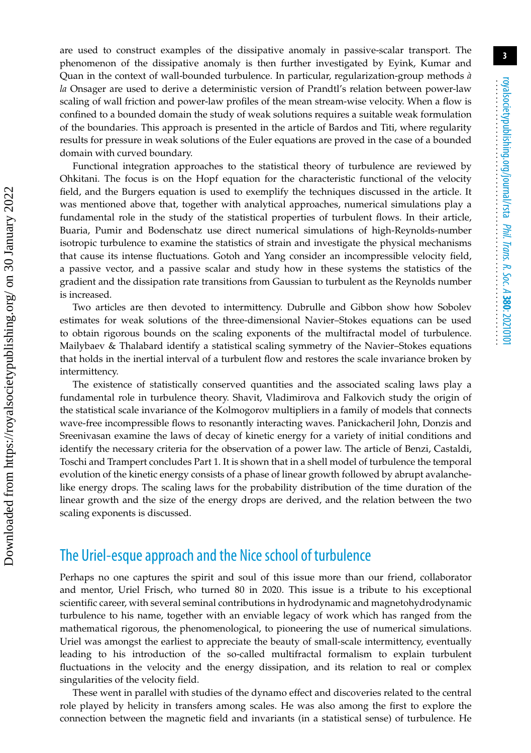**3**

are used to construct examples of the dissipative anomaly in passive-scalar transport. The phenomenon of the dissipative anomaly is then further investigated by Eyink, Kumar and Quan in the context of wall-bounded turbulence. In particular, regularization-group methods *à la* Onsager are used to derive a deterministic version of Prandtl's relation between power-law scaling of wall friction and power-law profiles of the mean stream-wise velocity. When a flow is confined to a bounded domain the study of weak solutions requires a suitable weak formulation of the boundaries. This approach is presented in the article of Bardos and Titi, where regularity results for pressure in weak solutions of the Euler equations are proved in the case of a bounded domain with curved boundary.

Functional integration approaches to the statistical theory of turbulence are reviewed by Ohkitani. The focus is on the Hopf equation for the characteristic functional of the velocity field, and the Burgers equation is used to exemplify the techniques discussed in the article. It was mentioned above that, together with analytical approaches, numerical simulations play a fundamental role in the study of the statistical properties of turbulent flows. In their article, Buaria, Pumir and Bodenschatz use direct numerical simulations of high-Reynolds-number isotropic turbulence to examine the statistics of strain and investigate the physical mechanisms that cause its intense fluctuations. Gotoh and Yang consider an incompressible velocity field, a passive vector, and a passive scalar and study how in these systems the statistics of the gradient and the dissipation rate transitions from Gaussian to turbulent as the Reynolds number is increased.

Two articles are then devoted to intermittency. Dubrulle and Gibbon show how Sobolev estimates for weak solutions of the three-dimensional Navier–Stokes equations can be used to obtain rigorous bounds on the scaling exponents of the multifractal model of turbulence. Mailybaev & Thalabard identify a statistical scaling symmetry of the Navier–Stokes equations that holds in the inertial interval of a turbulent flow and restores the scale invariance broken by intermittency.

The existence of statistically conserved quantities and the associated scaling laws play a fundamental role in turbulence theory. Shavit, Vladimirova and Falkovich study the origin of the statistical scale invariance of the Kolmogorov multipliers in a family of models that connects wave-free incompressible flows to resonantly interacting waves. Panickacheril John, Donzis and Sreenivasan examine the laws of decay of kinetic energy for a variety of initial conditions and identify the necessary criteria for the observation of a power law. The article of Benzi, Castaldi, Toschi and Trampert concludes Part 1. It is shown that in a shell model of turbulence the temporal evolution of the kinetic energy consists of a phase of linear growth followed by abrupt avalanchelike energy drops. The scaling laws for the probability distribution of the time duration of the linear growth and the size of the energy drops are derived, and the relation between the two scaling exponents is discussed.

## The Uriel-esque approach and the Nice school of turbulence

Perhaps no one captures the spirit and soul of this issue more than our friend, collaborator and mentor, Uriel Frisch, who turned 80 in 2020. This issue is a tribute to his exceptional scientific career, with several seminal contributions in hydrodynamic and magnetohydrodynamic turbulence to his name, together with an enviable legacy of work which has ranged from the mathematical rigorous, the phenomenological, to pioneering the use of numerical simulations. Uriel was amongst the earliest to appreciate the beauty of small-scale intermittency, eventually leading to his introduction of the so-called multifractal formalism to explain turbulent fluctuations in the velocity and the energy dissipation, and its relation to real or complex singularities of the velocity field.

These went in parallel with studies of the dynamo effect and discoveries related to the central role played by helicity in transfers among scales. He was also among the first to explore the connection between the magnetic field and invariants (in a statistical sense) of turbulence. He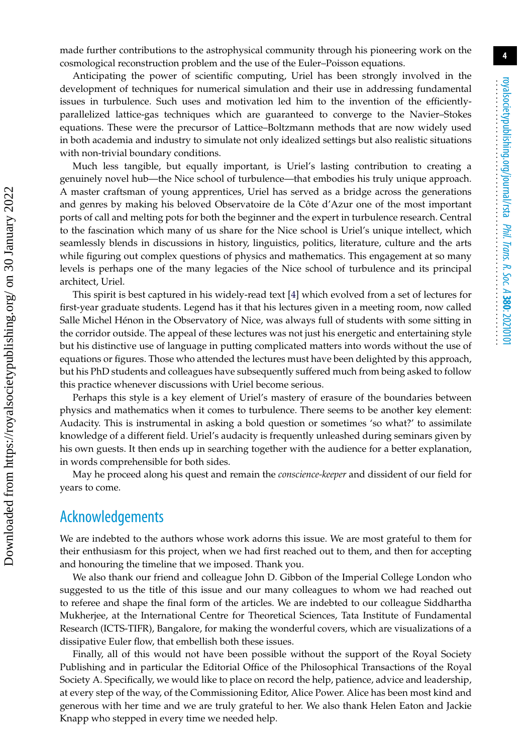**4**

made further contributions to the astrophysical community through his pioneering work on the cosmological reconstruction problem and the use of the Euler–Poisson equations.

Anticipating the power of scientific computing, Uriel has been strongly involved in the development of techniques for numerical simulation and their use in addressing fundamental issues in turbulence. Such uses and motivation led him to the invention of the efficientlyparallelized lattice-gas techniques which are guaranteed to converge to the Navier–Stokes equations. These were the precursor of Lattice–Boltzmann methods that are now widely used in both academia and industry to simulate not only idealized settings but also realistic situations with non-trivial boundary conditions.

Much less tangible, but equally important, is Uriel's lasting contribution to creating a genuinely novel hub—the Nice school of turbulence—that embodies his truly unique approach. A master craftsman of young apprentices, Uriel has served as a bridge across the generations and genres by making his beloved Observatoire de la Côte d'Azur one of the most important ports of call and melting pots for both the beginner and the expert in turbulence research. Central to the fascination which many of us share for the Nice school is Uriel's unique intellect, which seamlessly blends in discussions in history, linguistics, politics, literature, culture and the arts while figuring out complex questions of physics and mathematics. This engagement at so many levels is perhaps one of the many legacies of the Nice school of turbulence and its principal architect, Uriel.

This spirit is best captured in his widely-read text [\[4\]](#page-4-3) which evolved from a set of lectures for first-year graduate students. Legend has it that his lectures given in a meeting room, now called Salle Michel Hénon in the Observatory of Nice, was always full of students with some sitting in the corridor outside. The appeal of these lectures was not just his energetic and entertaining style but his distinctive use of language in putting complicated matters into words without the use of equations or figures. Those who attended the lectures must have been delighted by this approach, but his PhD students and colleagues have subsequently suffered much from being asked to follow this practice whenever discussions with Uriel become serious.

Perhaps this style is a key element of Uriel's mastery of erasure of the boundaries between physics and mathematics when it comes to turbulence. There seems to be another key element: Audacity. This is instrumental in asking a bold question or sometimes 'so what?' to assimilate knowledge of a different field. Uriel's audacity is frequently unleashed during seminars given by his own guests. It then ends up in searching together with the audience for a better explanation, in words comprehensible for both sides.

May he proceed along his quest and remain the *conscience-keeper* and dissident of our field for years to come.

### Acknowledgements

We are indebted to the authors whose work adorns this issue. We are most grateful to them for their enthusiasm for this project, when we had first reached out to them, and then for accepting and honouring the timeline that we imposed. Thank you.

We also thank our friend and colleague John D. Gibbon of the Imperial College London who suggested to us the title of this issue and our many colleagues to whom we had reached out to referee and shape the final form of the articles. We are indebted to our colleague Siddhartha Mukherjee, at the International Centre for Theoretical Sciences, Tata Institute of Fundamental Research (ICTS-TIFR), Bangalore, for making the wonderful covers, which are visualizations of a dissipative Euler flow, that embellish both these issues.

Finally, all of this would not have been possible without the support of the Royal Society Publishing and in particular the Editorial Office of the Philosophical Transactions of the Royal Society A. Specifically, we would like to place on record the help, patience, advice and leadership, at every step of the way, of the Commissioning Editor, Alice Power. Alice has been most kind and generous with her time and we are truly grateful to her. We also thank Helen Eaton and Jackie Knapp who stepped in every time we needed help.